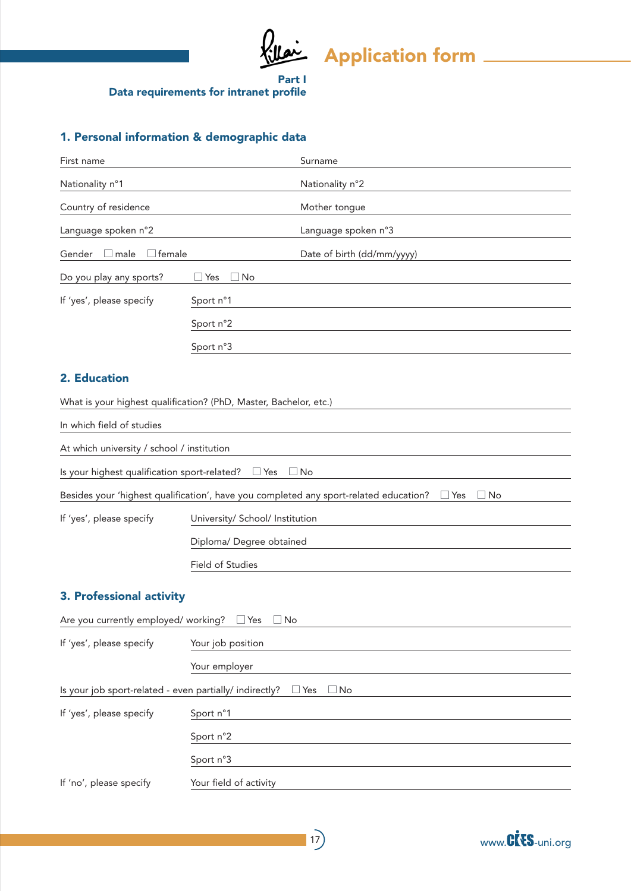

Part I Data requirements for intranet profile

## 1. Personal information & demographic data

| First name               |                                | Surname                    |  |
|--------------------------|--------------------------------|----------------------------|--|
| Nationality n°1          |                                | Nationality n°2            |  |
| Country of residence     |                                | Mother tongue              |  |
| Language spoken n°2      |                                | Language spoken n°3        |  |
| Gender<br>male<br>female |                                | Date of birth (dd/mm/yyyy) |  |
| Do you play any sports?  | Yes<br>No<br>$\mathbf{1}$<br>L |                            |  |
| If 'yes', please specify | Sport n°1                      |                            |  |
|                          | Sport n°2                      |                            |  |
|                          | Sport n°3                      |                            |  |
|                          |                                |                            |  |

## 2. Education

|                                                                                                                                                                                                                                    | What is your highest qualification? (PhD, Master, Bachelor, etc.)                                             |  |  |  |
|------------------------------------------------------------------------------------------------------------------------------------------------------------------------------------------------------------------------------------|---------------------------------------------------------------------------------------------------------------|--|--|--|
| In which field of studies                                                                                                                                                                                                          |                                                                                                               |  |  |  |
| At which university / school / institution                                                                                                                                                                                         |                                                                                                               |  |  |  |
|                                                                                                                                                                                                                                    | Is your highest qualification sport-related? $\Box$ Yes $\Box$ No                                             |  |  |  |
|                                                                                                                                                                                                                                    | Besides your 'highest qualification', have you completed any sport-related education? $\Box$ Yes<br>$\Box$ No |  |  |  |
| If 'yes', please specify                                                                                                                                                                                                           | University/ School/ Institution                                                                               |  |  |  |
|                                                                                                                                                                                                                                    | Diploma/ Degree obtained                                                                                      |  |  |  |
|                                                                                                                                                                                                                                    | Field of Studies                                                                                              |  |  |  |
| 3. Professional activity<br>Are you currently employed/ working? $\Box$ Yes                                                                                                                                                        | $\Box$ No                                                                                                     |  |  |  |
| $\mathcal{L}$ , and the contract of the contract of the contract of the contract of the contract of the contract of the contract of the contract of the contract of the contract of the contract of the contract of the contract o |                                                                                                               |  |  |  |

| If 'yes', please specify                                                     | Your job position<br>Your employer |  |  |
|------------------------------------------------------------------------------|------------------------------------|--|--|
|                                                                              |                                    |  |  |
| Is your job sport-related - even partially/ indirectly? $\Box$ Yes $\Box$ No |                                    |  |  |
| If 'yes', please specify                                                     | Sport n°1                          |  |  |
|                                                                              | Sport n°2                          |  |  |
|                                                                              | Sport n°3                          |  |  |
| If 'no', please specify                                                      | Your field of activity             |  |  |

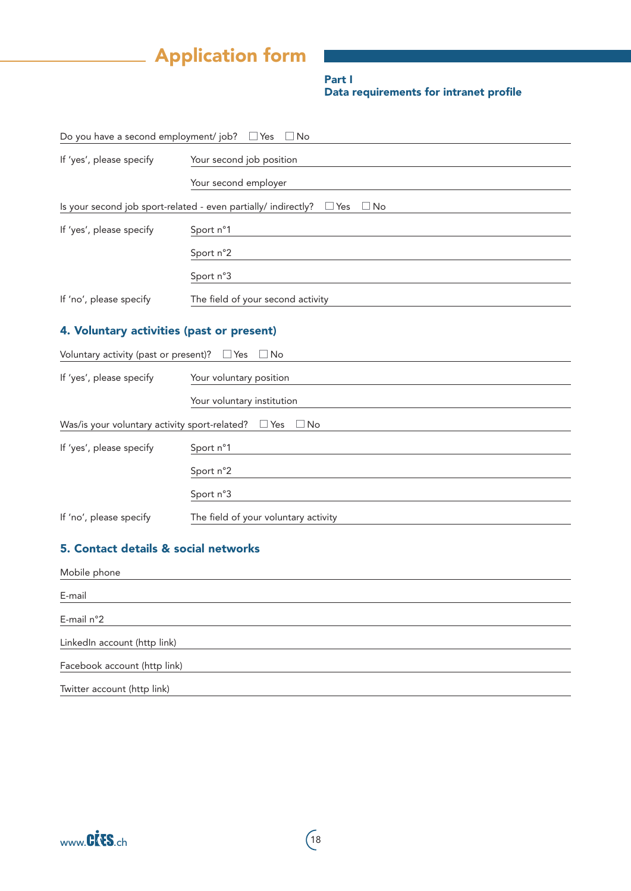# Application form

| <b>Part I</b>                          |  |  |
|----------------------------------------|--|--|
| Data requirements for intranet profile |  |  |

| Do you have a second employment/ job? $\Box$ Yes $\Box$ No                          |                                                  |  |  |
|-------------------------------------------------------------------------------------|--------------------------------------------------|--|--|
| If 'yes', please specify                                                            | Your second job position<br>Your second employer |  |  |
|                                                                                     |                                                  |  |  |
| Is your second job sport-related - even partially/ indirectly? $\Box$ Yes $\Box$ No |                                                  |  |  |
| If 'yes', please specify                                                            | Sport n°1                                        |  |  |
|                                                                                     | Sport n°2                                        |  |  |
|                                                                                     | Sport n°3                                        |  |  |
| If 'no', please specify                                                             | The field of your second activity                |  |  |

## 4. Voluntary activities (past or present)

| Voluntary activity (past or present)? $\Box$ Yes $\Box$ No         |                                      |  |  |
|--------------------------------------------------------------------|--------------------------------------|--|--|
| If 'yes', please specify                                           | Your voluntary position              |  |  |
|                                                                    | Your voluntary institution           |  |  |
| Was/is your voluntary activity sport-related? $\Box$ Yes $\Box$ No |                                      |  |  |
| If 'yes', please specify                                           | Sport n°1                            |  |  |
|                                                                    | Sport n°2                            |  |  |
|                                                                    | Sport n°3                            |  |  |
| If 'no', please specify                                            | The field of your voluntary activity |  |  |

### 5. Contact details & social networks

| Mobile phone                 |  |
|------------------------------|--|
| E-mail                       |  |
| E-mail $n^{\circ}2$          |  |
| LinkedIn account (http link) |  |
| Facebook account (http link) |  |
| Twitter account (http link)  |  |